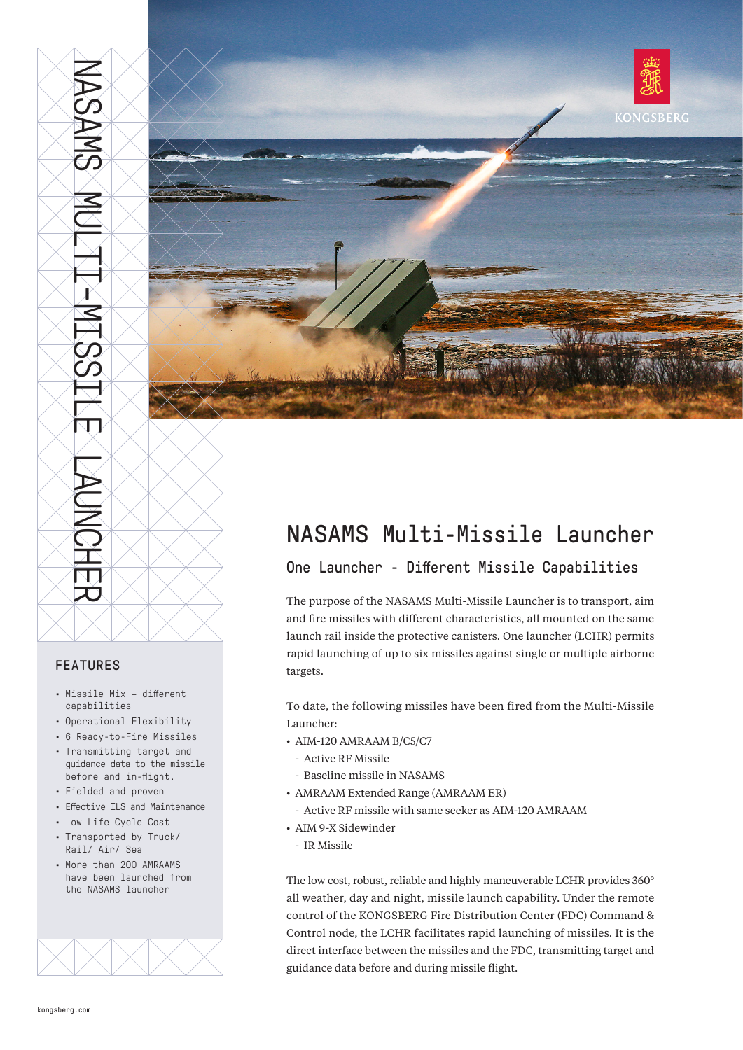

# NASAMS Multi-Missile Launcher

## One Launcher - Different Missile Capabilities

The purpose of the NASAMS Multi-Missile Launcher is to transport, aim and fire missiles with different characteristics, all mounted on the same launch rail inside the protective canisters. One launcher (LCHR) permits rapid launching of up to six missiles against single or multiple airborne targets.

To date, the following missiles have been fired from the Multi-Missile Launcher:

- AIM-120 AMRAAM B/C5/C7
	- Active RF Missile
	- Baseline missile in NASAMS
- AMRAAM Extended Range (AMRAAM ER)
- Active RF missile with same seeker as AIM-120 AMRAAM
- AIM 9-X Sidewinder
- IR Missile

The low cost, robust, reliable and highly maneuverable LCHR provides 360° all weather, day and night, missile launch capability. Under the remote control of the KONGSBERG Fire Distribution Center (FDC) Command & Control node, the LCHR facilitates rapid launching of missiles. It is the direct interface between the missiles and the FDC, transmitting target and guidance data before and during missile flight.

### FEATURES

 $\overline{\phantom{0}}$ 

T ⋜

 $\vee$  1

- Missile Mix different capabilities
- Operational Flexibility
- 6 Ready-to-Fire Missiles
- Transmitting target and guidance data to the missile before and in-flight.
- Fielded and proven
- Effective ILS and Maintenance
- Low Life Cycle Cost
- Transported by Truck/ Rail/ Air/ Sea
- More than 200 AMRAAMS have been launched from the NASAMS launcher